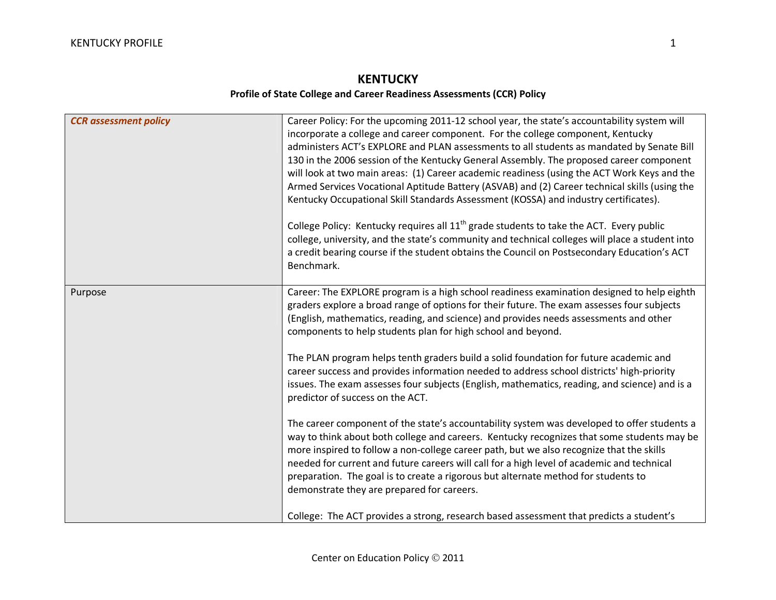## **KENTUCKY Profile of State College and Career Readiness Assessments (CCR) Policy**

| <b>CCR</b> assessment policy | Career Policy: For the upcoming 2011-12 school year, the state's accountability system will<br>incorporate a college and career component. For the college component, Kentucky<br>administers ACT's EXPLORE and PLAN assessments to all students as mandated by Senate Bill<br>130 in the 2006 session of the Kentucky General Assembly. The proposed career component<br>will look at two main areas: (1) Career academic readiness (using the ACT Work Keys and the<br>Armed Services Vocational Aptitude Battery (ASVAB) and (2) Career technical skills (using the<br>Kentucky Occupational Skill Standards Assessment (KOSSA) and industry certificates).<br>College Policy: Kentucky requires all 11 <sup>th</sup> grade students to take the ACT. Every public<br>college, university, and the state's community and technical colleges will place a student into<br>a credit bearing course if the student obtains the Council on Postsecondary Education's ACT<br>Benchmark. |
|------------------------------|---------------------------------------------------------------------------------------------------------------------------------------------------------------------------------------------------------------------------------------------------------------------------------------------------------------------------------------------------------------------------------------------------------------------------------------------------------------------------------------------------------------------------------------------------------------------------------------------------------------------------------------------------------------------------------------------------------------------------------------------------------------------------------------------------------------------------------------------------------------------------------------------------------------------------------------------------------------------------------------|
| Purpose                      | Career: The EXPLORE program is a high school readiness examination designed to help eighth<br>graders explore a broad range of options for their future. The exam assesses four subjects<br>(English, mathematics, reading, and science) and provides needs assessments and other<br>components to help students plan for high school and beyond.<br>The PLAN program helps tenth graders build a solid foundation for future academic and<br>career success and provides information needed to address school districts' high-priority<br>issues. The exam assesses four subjects (English, mathematics, reading, and science) and is a<br>predictor of success on the ACT.                                                                                                                                                                                                                                                                                                          |
|                              | The career component of the state's accountability system was developed to offer students a<br>way to think about both college and careers. Kentucky recognizes that some students may be<br>more inspired to follow a non-college career path, but we also recognize that the skills<br>needed for current and future careers will call for a high level of academic and technical<br>preparation. The goal is to create a rigorous but alternate method for students to<br>demonstrate they are prepared for careers.<br>College: The ACT provides a strong, research based assessment that predicts a student's                                                                                                                                                                                                                                                                                                                                                                    |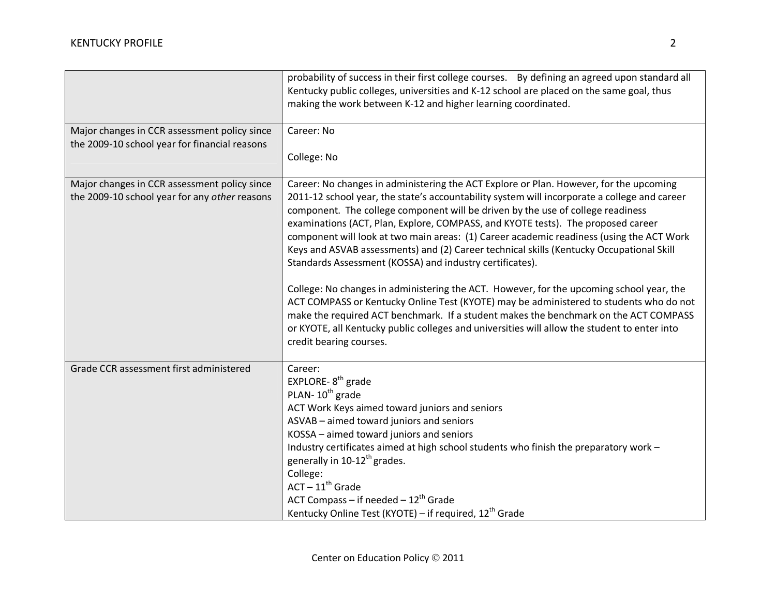|                                                                                               | probability of success in their first college courses.  By defining an agreed upon standard all<br>Kentucky public colleges, universities and K-12 school are placed on the same goal, thus<br>making the work between K-12 and higher learning coordinated.                                                                                                                                                                                                                                                                                                                                                                                                                                                                                                                                                                                                                                                                                                                                                               |
|-----------------------------------------------------------------------------------------------|----------------------------------------------------------------------------------------------------------------------------------------------------------------------------------------------------------------------------------------------------------------------------------------------------------------------------------------------------------------------------------------------------------------------------------------------------------------------------------------------------------------------------------------------------------------------------------------------------------------------------------------------------------------------------------------------------------------------------------------------------------------------------------------------------------------------------------------------------------------------------------------------------------------------------------------------------------------------------------------------------------------------------|
| Major changes in CCR assessment policy since<br>the 2009-10 school year for financial reasons | Career: No<br>College: No                                                                                                                                                                                                                                                                                                                                                                                                                                                                                                                                                                                                                                                                                                                                                                                                                                                                                                                                                                                                  |
| Major changes in CCR assessment policy since<br>the 2009-10 school year for any other reasons | Career: No changes in administering the ACT Explore or Plan. However, for the upcoming<br>2011-12 school year, the state's accountability system will incorporate a college and career<br>component. The college component will be driven by the use of college readiness<br>examinations (ACT, Plan, Explore, COMPASS, and KYOTE tests). The proposed career<br>component will look at two main areas: (1) Career academic readiness (using the ACT Work<br>Keys and ASVAB assessments) and (2) Career technical skills (Kentucky Occupational Skill<br>Standards Assessment (KOSSA) and industry certificates).<br>College: No changes in administering the ACT. However, for the upcoming school year, the<br>ACT COMPASS or Kentucky Online Test (KYOTE) may be administered to students who do not<br>make the required ACT benchmark. If a student makes the benchmark on the ACT COMPASS<br>or KYOTE, all Kentucky public colleges and universities will allow the student to enter into<br>credit bearing courses. |
| Grade CCR assessment first administered                                                       | Career:<br>EXPLORE-8 <sup>th</sup> grade<br>PLAN-10 <sup>th</sup> grade<br>ACT Work Keys aimed toward juniors and seniors<br>ASVAB - aimed toward juniors and seniors<br>KOSSA - aimed toward juniors and seniors<br>Industry certificates aimed at high school students who finish the preparatory work -<br>generally in 10-12 <sup>th</sup> grades.<br>College:<br>$ACT - 11th$ Grade<br>ACT Compass - if needed $-12^{th}$ Grade<br>Kentucky Online Test (KYOTE) - if required, 12 <sup>th</sup> Grade                                                                                                                                                                                                                                                                                                                                                                                                                                                                                                                 |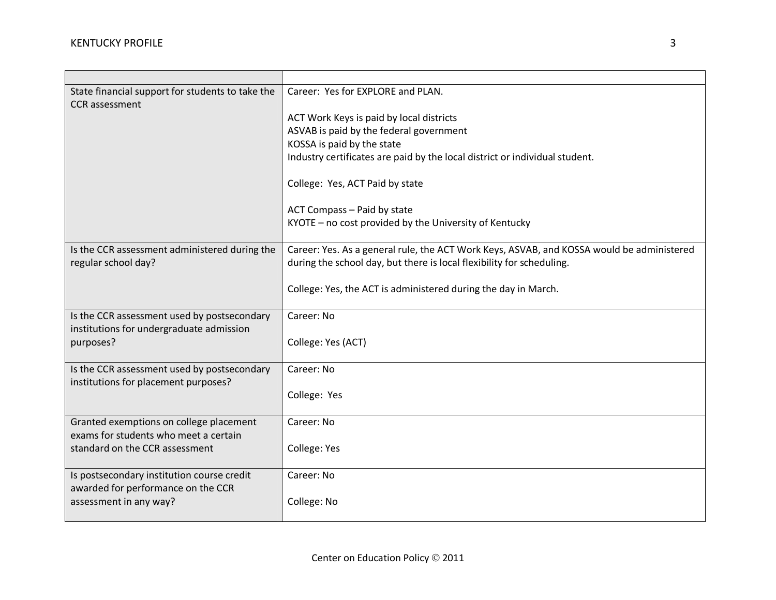| State financial support for students to take the                                    | Career: Yes for EXPLORE and PLAN.                                                         |
|-------------------------------------------------------------------------------------|-------------------------------------------------------------------------------------------|
| <b>CCR</b> assessment                                                               |                                                                                           |
|                                                                                     | ACT Work Keys is paid by local districts                                                  |
|                                                                                     | ASVAB is paid by the federal government                                                   |
|                                                                                     | KOSSA is paid by the state                                                                |
|                                                                                     | Industry certificates are paid by the local district or individual student.               |
|                                                                                     | College: Yes, ACT Paid by state                                                           |
|                                                                                     | ACT Compass - Paid by state                                                               |
|                                                                                     | KYOTE - no cost provided by the University of Kentucky                                    |
|                                                                                     |                                                                                           |
| Is the CCR assessment administered during the                                       | Career: Yes. As a general rule, the ACT Work Keys, ASVAB, and KOSSA would be administered |
| regular school day?                                                                 | during the school day, but there is local flexibility for scheduling.                     |
|                                                                                     |                                                                                           |
|                                                                                     | College: Yes, the ACT is administered during the day in March.                            |
|                                                                                     |                                                                                           |
| Is the CCR assessment used by postsecondary                                         | Career: No                                                                                |
| institutions for undergraduate admission                                            |                                                                                           |
| purposes?                                                                           | College: Yes (ACT)                                                                        |
|                                                                                     |                                                                                           |
| Is the CCR assessment used by postsecondary<br>institutions for placement purposes? | Career: No                                                                                |
|                                                                                     | College: Yes                                                                              |
|                                                                                     |                                                                                           |
| Granted exemptions on college placement                                             | Career: No                                                                                |
| exams for students who meet a certain                                               |                                                                                           |
| standard on the CCR assessment                                                      | College: Yes                                                                              |
|                                                                                     |                                                                                           |
| Is postsecondary institution course credit                                          | Career: No                                                                                |
| awarded for performance on the CCR                                                  |                                                                                           |
| assessment in any way?                                                              | College: No                                                                               |
|                                                                                     |                                                                                           |